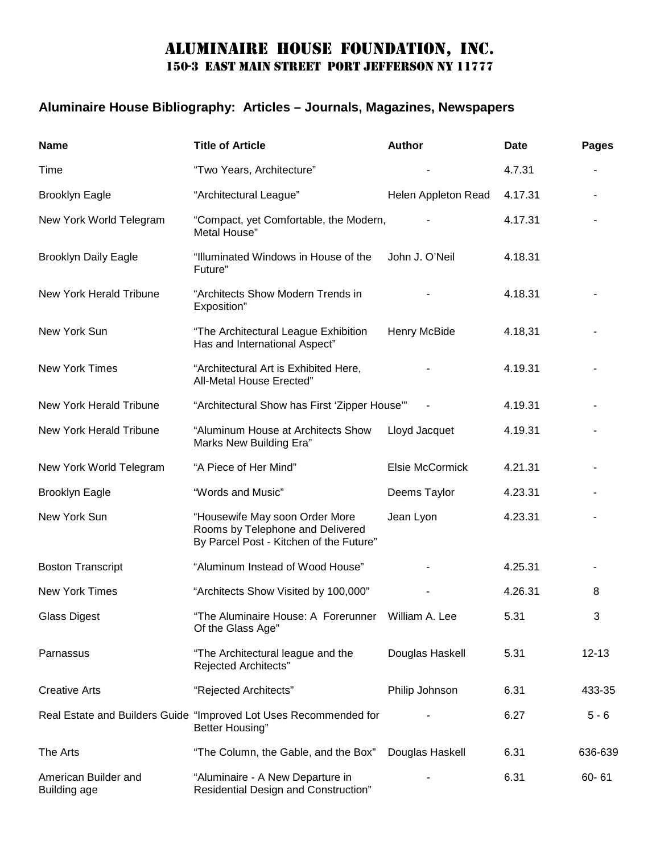## Aluminaire house foundation, inc. 150-3 EAST MAIN STREET PORT JEFFERSON NY 11777

## **Aluminaire House Bibliography: Articles – Journals, Magazines, Newspapers**

| <b>Name</b>                                 | <b>Title of Article</b>                                                                                       | <b>Author</b>       | <b>Date</b> | <b>Pages</b> |
|---------------------------------------------|---------------------------------------------------------------------------------------------------------------|---------------------|-------------|--------------|
| Time                                        | "Two Years, Architecture"                                                                                     |                     | 4.7.31      |              |
| <b>Brooklyn Eagle</b>                       | "Architectural League"                                                                                        | Helen Appleton Read | 4.17.31     |              |
| New York World Telegram                     | "Compact, yet Comfortable, the Modern,<br>Metal House"                                                        |                     | 4.17.31     |              |
| <b>Brooklyn Daily Eagle</b>                 | "Illuminated Windows in House of the<br>Future"                                                               | John J. O'Neil      | 4.18.31     |              |
| New York Herald Tribune                     | "Architects Show Modern Trends in<br>Exposition"                                                              |                     | 4.18.31     |              |
| New York Sun                                | "The Architectural League Exhibition<br>Has and International Aspect"                                         | Henry McBide        | 4.18,31     |              |
| <b>New York Times</b>                       | "Architectural Art is Exhibited Here,<br>All-Metal House Erected"                                             |                     | 4.19.31     |              |
| New York Herald Tribune                     | "Architectural Show has First 'Zipper House""                                                                 |                     | 4.19.31     |              |
| <b>New York Herald Tribune</b>              | "Aluminum House at Architects Show<br>Marks New Building Era"                                                 | Lloyd Jacquet       | 4.19.31     |              |
| New York World Telegram                     | "A Piece of Her Mind"                                                                                         | Elsie McCormick     | 4.21.31     |              |
| <b>Brooklyn Eagle</b>                       | "Words and Music"                                                                                             | Deems Taylor        | 4.23.31     |              |
| New York Sun                                | "Housewife May soon Order More<br>Rooms by Telephone and Delivered<br>By Parcel Post - Kitchen of the Future" | Jean Lyon           | 4.23.31     |              |
| <b>Boston Transcript</b>                    | "Aluminum Instead of Wood House"                                                                              |                     | 4.25.31     |              |
| New York Times                              | "Architects Show Visited by 100,000"                                                                          |                     | 4.26.31     | 8            |
| <b>Glass Digest</b>                         | "The Aluminaire House: A Forerunner William A. Lee<br>Of the Glass Age"                                       |                     | 5.31        | 3            |
| Parnassus                                   | "The Architectural league and the<br>Rejected Architects"                                                     | Douglas Haskell     | 5.31        | $12 - 13$    |
| <b>Creative Arts</b>                        | "Rejected Architects"                                                                                         | Philip Johnson      | 6.31        | 433-35       |
|                                             | Real Estate and Builders Guide "Improved Lot Uses Recommended for<br>Better Housing"                          |                     | 6.27        | $5 - 6$      |
| The Arts                                    | "The Column, the Gable, and the Box"                                                                          | Douglas Haskell     | 6.31        | 636-639      |
| American Builder and<br><b>Building age</b> | "Aluminaire - A New Departure in<br>Residential Design and Construction"                                      |                     | 6.31        | $60 - 61$    |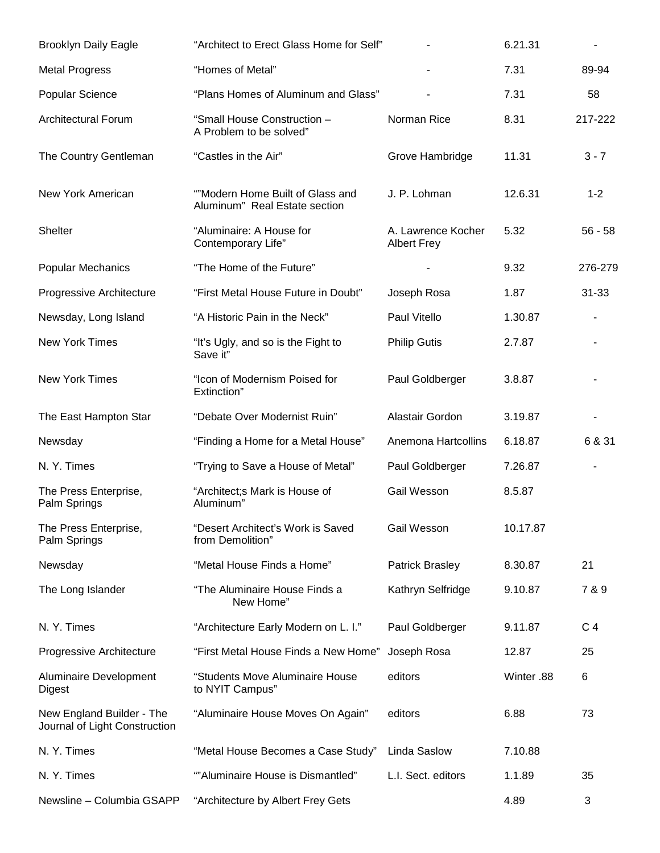| <b>Brooklyn Daily Eagle</b>                                | "Architect to Erect Glass Home for Self"                          |                                          | 6.21.31    |           |
|------------------------------------------------------------|-------------------------------------------------------------------|------------------------------------------|------------|-----------|
| <b>Metal Progress</b>                                      | "Homes of Metal"                                                  |                                          | 7.31       | 89-94     |
| Popular Science                                            | "Plans Homes of Aluminum and Glass"                               |                                          | 7.31       | 58        |
| <b>Architectural Forum</b>                                 | "Small House Construction -<br>A Problem to be solved"            | Norman Rice                              | 8.31       | 217-222   |
| The Country Gentleman                                      | "Castles in the Air"                                              | Grove Hambridge                          | 11.31      | $3 - 7$   |
| New York American                                          | ""Modern Home Built of Glass and<br>Aluminum" Real Estate section | J. P. Lohman                             | 12.6.31    | $1 - 2$   |
| Shelter                                                    | "Aluminaire: A House for<br>Contemporary Life"                    | A. Lawrence Kocher<br><b>Albert Frey</b> | 5.32       | $56 - 58$ |
| <b>Popular Mechanics</b>                                   | "The Home of the Future"                                          |                                          | 9.32       | 276-279   |
| Progressive Architecture                                   | "First Metal House Future in Doubt"                               | Joseph Rosa                              | 1.87       | $31 - 33$ |
| Newsday, Long Island                                       | "A Historic Pain in the Neck"                                     | Paul Vitello                             | 1.30.87    |           |
| New York Times                                             | "It's Ugly, and so is the Fight to<br>Save it"                    | <b>Philip Gutis</b>                      | 2.7.87     |           |
| New York Times                                             | "Icon of Modernism Poised for<br>Extinction"                      | Paul Goldberger                          | 3.8.87     |           |
| The East Hampton Star                                      | "Debate Over Modernist Ruin"                                      | Alastair Gordon                          | 3.19.87    |           |
| Newsday                                                    | "Finding a Home for a Metal House"                                | Anemona Hartcollins                      | 6.18.87    | 6 & 31    |
| N.Y. Times                                                 | "Trying to Save a House of Metal"                                 | Paul Goldberger                          | 7.26.87    |           |
| The Press Enterprise,<br>Palm Springs                      | "Architect; Mark is House of<br>Aluminum"                         | Gail Wesson                              | 8.5.87     |           |
| The Press Enterprise,<br>Palm Springs                      | "Desert Architect's Work is Saved<br>from Demolition"             | Gail Wesson                              | 10.17.87   |           |
| Newsday                                                    | "Metal House Finds a Home"                                        | <b>Patrick Brasley</b>                   | 8.30.87    | 21        |
| The Long Islander                                          | "The Aluminaire House Finds a<br>New Home"                        | Kathryn Selfridge                        | 9.10.87    | 7 & 9     |
| N.Y.Times                                                  | "Architecture Early Modern on L. I."                              | Paul Goldberger                          | 9.11.87    | C 4       |
| Progressive Architecture                                   | "First Metal House Finds a New Home"                              | Joseph Rosa                              | 12.87      | 25        |
| Aluminaire Development<br>Digest                           | "Students Move Aluminaire House<br>to NYIT Campus"                | editors                                  | Winter .88 | 6         |
| New England Builder - The<br>Journal of Light Construction | "Aluminaire House Moves On Again"                                 | editors                                  | 6.88       | 73        |
| N.Y. Times                                                 | "Metal House Becomes a Case Study"                                | Linda Saslow                             | 7.10.88    |           |
| N.Y. Times                                                 | ""Aluminaire House is Dismantled"                                 | L.I. Sect. editors                       | 1.1.89     | 35        |
| Newsline - Columbia GSAPP                                  | "Architecture by Albert Frey Gets                                 |                                          | 4.89       | 3         |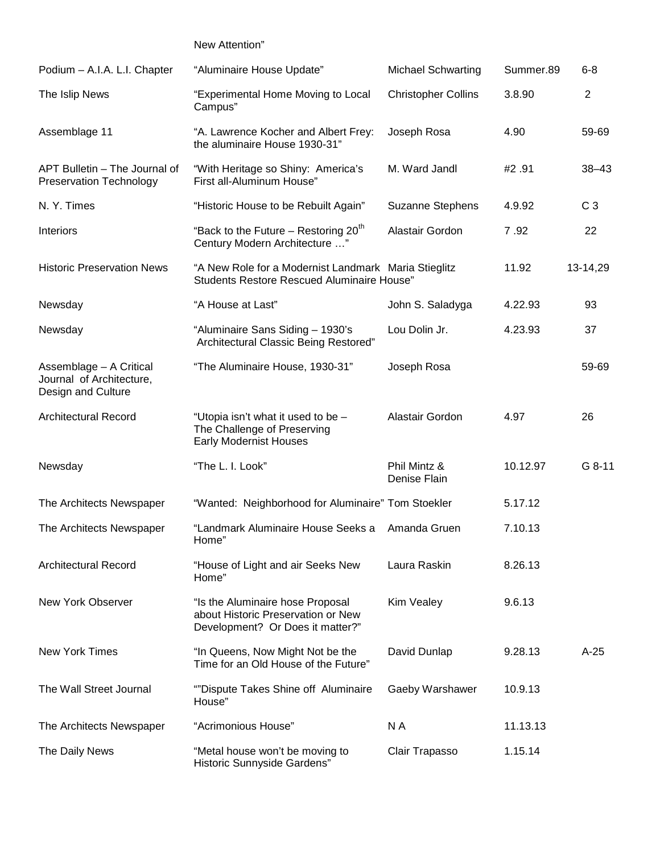New Attention"

| Podium - A.I.A. L.I. Chapter                                              | "Aluminaire House Update"                                                                                  | <b>Michael Schwarting</b>    | Summer.89 | $6 - 8$        |
|---------------------------------------------------------------------------|------------------------------------------------------------------------------------------------------------|------------------------------|-----------|----------------|
| The Islip News                                                            | "Experimental Home Moving to Local<br>Campus"                                                              | <b>Christopher Collins</b>   | 3.8.90    | $\overline{2}$ |
| Assemblage 11                                                             | "A. Lawrence Kocher and Albert Frey:<br>the aluminaire House 1930-31"                                      | Joseph Rosa                  | 4.90      | 59-69          |
| APT Bulletin - The Journal of<br><b>Preservation Technology</b>           | "With Heritage so Shiny: America's<br>First all-Aluminum House"                                            | M. Ward Jandl                | #2.91     | $38 - 43$      |
| N.Y. Times                                                                | "Historic House to be Rebuilt Again"                                                                       | Suzanne Stephens             | 4.9.92    | C <sub>3</sub> |
| Interiors                                                                 | "Back to the Future - Restoring 20 <sup>th</sup><br>Century Modern Architecture "                          | Alastair Gordon              | 7.92      | 22             |
| <b>Historic Preservation News</b>                                         | "A New Role for a Modernist Landmark Maria Stieglitz<br><b>Students Restore Rescued Aluminaire House"</b>  |                              | 11.92     | 13-14,29       |
| Newsday                                                                   | "A House at Last"                                                                                          | John S. Saladyga             | 4.22.93   | 93             |
| Newsday                                                                   | "Aluminaire Sans Siding - 1930's<br>Architectural Classic Being Restored"                                  | Lou Dolin Jr.                | 4.23.93   | 37             |
| Assemblage - A Critical<br>Journal of Architecture,<br>Design and Culture | "The Aluminaire House, 1930-31"                                                                            | Joseph Rosa                  |           | 59-69          |
| <b>Architectural Record</b>                                               | "Utopia isn't what it used to be -<br>The Challenge of Preserving<br><b>Early Modernist Houses</b>         | Alastair Gordon              | 4.97      | 26             |
| Newsday                                                                   | "The L. I. Look"                                                                                           | Phil Mintz &<br>Denise Flain | 10.12.97  | G 8-11         |
| The Architects Newspaper                                                  | "Wanted: Neighborhood for Aluminaire" Tom Stoekler                                                         |                              | 5.17.12   |                |
| The Architects Newspaper                                                  | "Landmark Aluminaire House Seeks a<br>Home"                                                                | Amanda Gruen                 | 7.10.13   |                |
| <b>Architectural Record</b>                                               | "House of Light and air Seeks New<br>Home"                                                                 | Laura Raskin                 | 8.26.13   |                |
| New York Observer                                                         | "Is the Aluminaire hose Proposal<br>about Historic Preservation or New<br>Development? Or Does it matter?" | Kim Vealey                   | 9.6.13    |                |
| <b>New York Times</b>                                                     | "In Queens, Now Might Not be the<br>Time for an Old House of the Future"                                   | David Dunlap                 | 9.28.13   | $A-25$         |
| The Wall Street Journal                                                   | ""Dispute Takes Shine off Aluminaire<br>House"                                                             | Gaeby Warshawer              | 10.9.13   |                |
| The Architects Newspaper                                                  | "Acrimonious House"                                                                                        | N A                          | 11.13.13  |                |
| The Daily News                                                            | "Metal house won't be moving to<br>Historic Sunnyside Gardens"                                             | Clair Trapasso               | 1.15.14   |                |